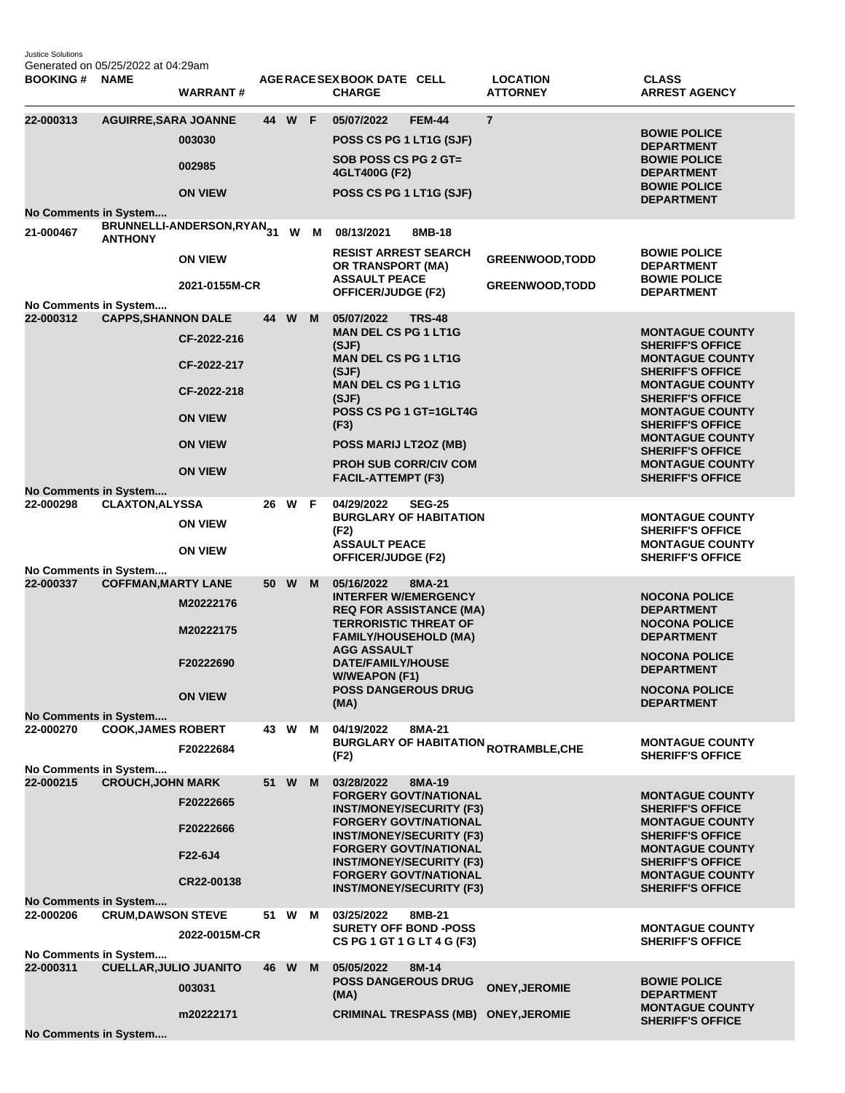Justice Solutions Generated on 05/25/2022 at 04:29am

| <b>BOOKING#</b>                    | <b>NAME</b>                   | <b>WARRANT#</b>                                                                                 |    |        |     | AGERACE SEX BOOK DATE CELL<br><b>CHARGE</b>                                                                                                                                                                                                                                            |               | <b>LOCATION</b><br><b>ATTORNEY</b>                     | <b>CLASS</b><br><b>ARREST AGENCY</b>                                                                                                                                                                                                                                                                                       |
|------------------------------------|-------------------------------|-------------------------------------------------------------------------------------------------|----|--------|-----|----------------------------------------------------------------------------------------------------------------------------------------------------------------------------------------------------------------------------------------------------------------------------------------|---------------|--------------------------------------------------------|----------------------------------------------------------------------------------------------------------------------------------------------------------------------------------------------------------------------------------------------------------------------------------------------------------------------------|
| 22-000313<br>No Comments in System | <b>AGUIRRE, SARA JOANNE</b>   | 003030<br>002985<br><b>ON VIEW</b>                                                              |    | 44 W F |     | 05/07/2022<br>POSS CS PG 1 LT1G (SJF)<br>SOB POSS CS PG 2 GT=<br>4GLT400G (F2)<br>POSS CS PG 1 LT1G (SJF)                                                                                                                                                                              | <b>FEM-44</b> | $\overline{7}$                                         | <b>BOWIE POLICE</b><br><b>DEPARTMENT</b><br><b>BOWIE POLICE</b><br><b>DEPARTMENT</b><br><b>BOWIE POLICE</b><br><b>DEPARTMENT</b>                                                                                                                                                                                           |
| 21-000467                          | <b>ANTHONY</b>                | BRUNNELLI-ANDERSON,RYAN31<br><b>ON VIEW</b><br>2021-0155M-CR                                    |    |        | W M | 08/13/2021<br><b>RESIST ARREST SEARCH</b><br>OR TRANSPORT (MA)<br><b>ASSAULT PEACE</b><br>OFFICER/JUDGE (F2)                                                                                                                                                                           | 8MB-18        | <b>GREENWOOD, TODD</b><br><b>GREENWOOD, TODD</b>       | <b>BOWIE POLICE</b><br><b>DEPARTMENT</b><br><b>BOWIE POLICE</b><br><b>DEPARTMENT</b>                                                                                                                                                                                                                                       |
| No Comments in System<br>22-000312 | <b>CAPPS, SHANNON DALE</b>    | CF-2022-216<br>CF-2022-217<br>CF-2022-218<br><b>ON VIEW</b><br><b>ON VIEW</b><br><b>ON VIEW</b> |    | 44 W   | M   | 05/07/2022<br><b>MAN DEL CS PG 1 LT1G</b><br>(SJF)<br><b>MAN DEL CS PG 1 LT1G</b><br>(SJF)<br><b>MAN DEL CS PG 1 LT1G</b><br>(SJF)<br>POSS CS PG 1 GT=1GLT4G<br>(F3)<br>POSS MARIJ LT2OZ (MB)<br><b>PROH SUB CORR/CIV COM</b><br><b>FACIL-ATTEMPT (F3)</b>                             | <b>TRS-48</b> |                                                        | <b>MONTAGUE COUNTY</b><br><b>SHERIFF'S OFFICE</b><br><b>MONTAGUE COUNTY</b><br><b>SHERIFF'S OFFICE</b><br><b>MONTAGUE COUNTY</b><br><b>SHERIFF'S OFFICE</b><br><b>MONTAGUE COUNTY</b><br><b>SHERIFF'S OFFICE</b><br><b>MONTAGUE COUNTY</b><br><b>SHERIFF'S OFFICE</b><br><b>MONTAGUE COUNTY</b><br><b>SHERIFF'S OFFICE</b> |
| No Comments in System<br>22-000298 | <b>CLAXTON, ALYSSA</b>        | <b>ON VIEW</b><br><b>ON VIEW</b>                                                                | 26 | W      | -F  | 04/29/2022<br><b>BURGLARY OF HABITATION</b><br>(F2)<br><b>ASSAULT PEACE</b><br>OFFICER/JUDGE (F2)                                                                                                                                                                                      | <b>SEG-25</b> |                                                        | <b>MONTAGUE COUNTY</b><br><b>SHERIFF'S OFFICE</b><br><b>MONTAGUE COUNTY</b><br><b>SHERIFF'S OFFICE</b>                                                                                                                                                                                                                     |
| No Comments in System<br>22-000337 | <b>COFFMAN, MARTY LANE</b>    | M20222176<br>M20222175<br>F20222690<br><b>ON VIEW</b>                                           |    | 50 W   | M   | 05/16/2022<br><b>INTERFER W/EMERGENCY</b><br><b>REQ FOR ASSISTANCE (MA)</b><br><b>TERRORISTIC THREAT OF</b><br><b>FAMILY/HOUSEHOLD (MA)</b><br><b>AGG ASSAULT</b><br>DATE/FAMILY/HOUSE<br><b>W/WEAPON (F1)</b><br><b>POSS DANGEROUS DRUG</b><br>(MA)                                   | 8MA-21        |                                                        | <b>NOCONA POLICE</b><br><b>DEPARTMENT</b><br><b>NOCONA POLICE</b><br><b>DEPARTMENT</b><br><b>NOCONA POLICE</b><br><b>DEPARTMENT</b><br><b>NOCONA POLICE</b><br><b>DEPARTMENT</b>                                                                                                                                           |
| No Comments in System<br>22-000270 | <b>COOK, JAMES ROBERT</b>     | F20222684                                                                                       |    | 43 W   | м   | 04/19/2022<br>(F2)                                                                                                                                                                                                                                                                     | 8MA-21        | <b>BURGLARY OF HABITATION <sub>ROTRAMBLE,CHE</sub></b> | <b>MONTAGUE COUNTY</b><br><b>SHERIFF'S OFFICE</b>                                                                                                                                                                                                                                                                          |
| No Comments in System<br>22-000215 | <b>CROUCH, JOHN MARK</b>      | F20222665<br>F20222666<br>F22-6J4<br>CR22-00138                                                 | 51 | W      | M   | 03/28/2022<br><b>FORGERY GOVT/NATIONAL</b><br><b>INST/MONEY/SECURITY (F3)</b><br><b>FORGERY GOVT/NATIONAL</b><br><b>INST/MONEY/SECURITY (F3)</b><br><b>FORGERY GOVT/NATIONAL</b><br><b>INST/MONEY/SECURITY (F3)</b><br><b>FORGERY GOVT/NATIONAL</b><br><b>INST/MONEY/SECURITY (F3)</b> | 8MA-19        |                                                        | <b>MONTAGUE COUNTY</b><br><b>SHERIFF'S OFFICE</b><br><b>MONTAGUE COUNTY</b><br><b>SHERIFF'S OFFICE</b><br><b>MONTAGUE COUNTY</b><br><b>SHERIFF'S OFFICE</b><br><b>MONTAGUE COUNTY</b><br><b>SHERIFF'S OFFICE</b>                                                                                                           |
| No Comments in System<br>22-000206 | <b>CRUM, DAWSON STEVE</b>     | 2022-0015M-CR                                                                                   | 51 | W      | м   | 03/25/2022<br><b>SURETY OFF BOND -POSS</b><br>CS PG 1 GT 1 G LT 4 G (F3)                                                                                                                                                                                                               | 8MB-21        |                                                        | <b>MONTAGUE COUNTY</b><br><b>SHERIFF'S OFFICE</b>                                                                                                                                                                                                                                                                          |
| No Comments in System<br>22-000311 | <b>CUELLAR, JULIO JUANITO</b> | 003031<br>m20222171                                                                             | 46 | W      | M   | 05/05/2022<br><b>POSS DANGEROUS DRUG</b><br>(MA)<br><b>CRIMINAL TRESPASS (MB)</b>                                                                                                                                                                                                      | 8M-14         | <b>ONEY, JEROMIE</b><br><b>ONEY, JEROMIE</b>           | <b>BOWIE POLICE</b><br><b>DEPARTMENT</b><br><b>MONTAGUE COUNTY</b><br><b>SHERIFF'S OFFICE</b>                                                                                                                                                                                                                              |
|                                    | No Comments in System         |                                                                                                 |    |        |     |                                                                                                                                                                                                                                                                                        |               |                                                        |                                                                                                                                                                                                                                                                                                                            |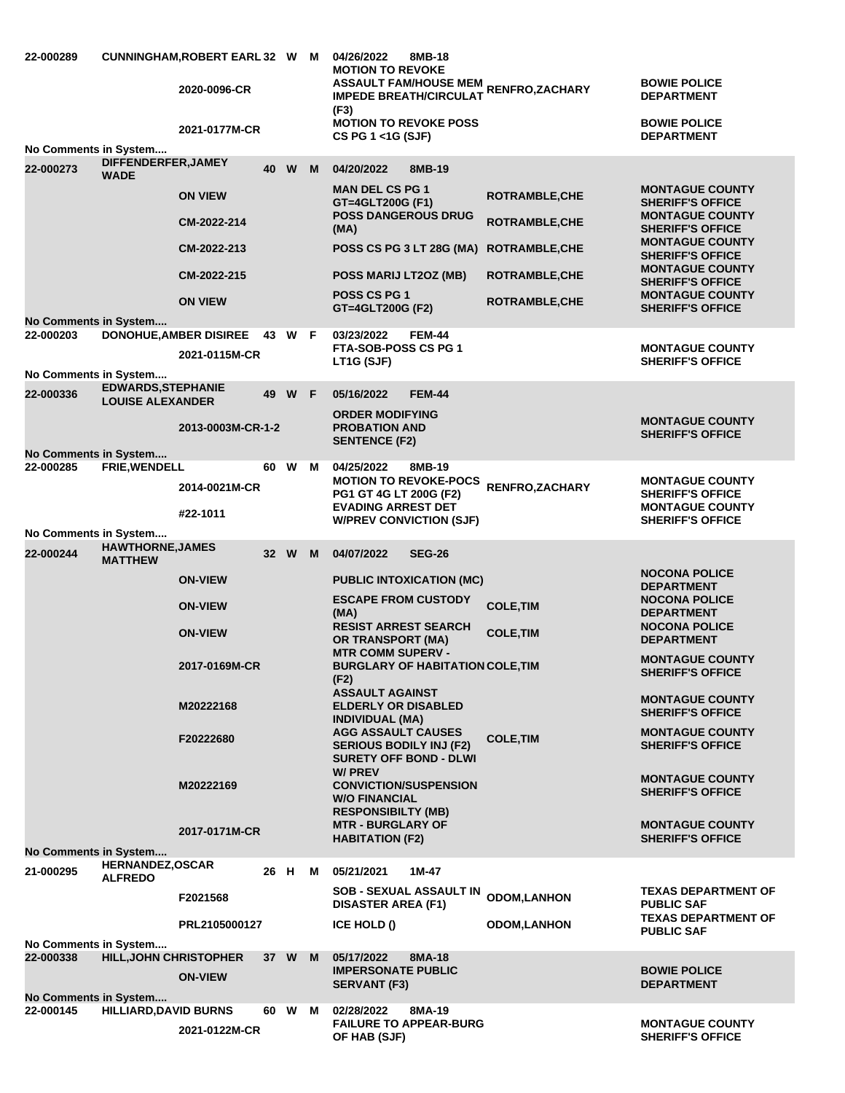| 22-000289             |                                                      | CUNNINGHAM, ROBERT EARL 32 W M<br>2020-0096-CR<br>2021-0177M-CR |      |        |   | 04/26/2022<br>8MB-18<br><b>MOTION TO REVOKE</b><br>ASSAULT FAM/HOUSE MEM RENFRO,ZACHARY<br><b>IMPEDE BREATH/CIRCULAT</b><br>(F3)<br><b>MOTION TO REVOKE POSS</b><br>CS PG 1 <1G (SJF) |                                                | <b>BOWIE POLICE</b><br><b>DEPARTMENT</b><br><b>BOWIE POLICE</b><br><b>DEPARTMENT</b>                   |
|-----------------------|------------------------------------------------------|-----------------------------------------------------------------|------|--------|---|---------------------------------------------------------------------------------------------------------------------------------------------------------------------------------------|------------------------------------------------|--------------------------------------------------------------------------------------------------------|
| No Comments in System | DIFFENDERFER, JAMEY                                  |                                                                 |      |        |   |                                                                                                                                                                                       |                                                |                                                                                                        |
| 22-000273             | <b>WADE</b>                                          |                                                                 | 40   | W      | M | 04/20/2022<br>8MB-19                                                                                                                                                                  |                                                |                                                                                                        |
|                       |                                                      | <b>ON VIEW</b><br>CM-2022-214                                   |      |        |   | <b>MAN DEL CS PG 1</b><br>GT=4GLT200G (F1)<br><b>POSS DANGEROUS DRUG</b><br>(MA)                                                                                                      | <b>ROTRAMBLE, CHE</b><br><b>ROTRAMBLE, CHE</b> | <b>MONTAGUE COUNTY</b><br><b>SHERIFF'S OFFICE</b><br><b>MONTAGUE COUNTY</b><br><b>SHERIFF'S OFFICE</b> |
|                       |                                                      | CM-2022-213                                                     |      |        |   | POSS CS PG 3 LT 28G (MA)                                                                                                                                                              | <b>ROTRAMBLE, CHE</b>                          | <b>MONTAGUE COUNTY</b><br><b>SHERIFF'S OFFICE</b>                                                      |
|                       |                                                      | CM-2022-215                                                     |      |        |   | POSS MARIJ LT2OZ (MB)                                                                                                                                                                 | <b>ROTRAMBLE, CHE</b>                          | <b>MONTAGUE COUNTY</b><br><b>SHERIFF'S OFFICE</b>                                                      |
|                       |                                                      | <b>ON VIEW</b>                                                  |      |        |   | <b>POSS CS PG 1</b><br>GT=4GLT200G (F2)                                                                                                                                               | <b>ROTRAMBLE, CHE</b>                          | <b>MONTAGUE COUNTY</b><br><b>SHERIFF'S OFFICE</b>                                                      |
| No Comments in System |                                                      | DONOHUE, AMBER DISIREE 43 W F                                   |      |        |   |                                                                                                                                                                                       |                                                |                                                                                                        |
| 22-000203             |                                                      | 2021-0115M-CR                                                   |      |        |   | 03/23/2022<br>FEM-44<br><b>FTA-SOB-POSS CS PG 1</b><br>LT1G (SJF)                                                                                                                     |                                                | <b>MONTAGUE COUNTY</b><br><b>SHERIFF'S OFFICE</b>                                                      |
| No Comments in System |                                                      |                                                                 |      |        |   |                                                                                                                                                                                       |                                                |                                                                                                        |
| 22-000336             | <b>EDWARDS, STEPHANIE</b><br><b>LOUISE ALEXANDER</b> |                                                                 | 49   | W F    |   | <b>FEM-44</b><br>05/16/2022                                                                                                                                                           |                                                |                                                                                                        |
|                       |                                                      | 2013-0003M-CR-1-2                                               |      |        |   | <b>ORDER MODIFYING</b><br><b>PROBATION AND</b><br><b>SENTENCE (F2)</b>                                                                                                                |                                                | <b>MONTAGUE COUNTY</b><br><b>SHERIFF'S OFFICE</b>                                                      |
| No Comments in System |                                                      |                                                                 |      |        |   |                                                                                                                                                                                       |                                                |                                                                                                        |
| 22-000285             | FRIE, WENDELL                                        | 2014-0021M-CR                                                   | 60 W |        | M | 04/25/2022<br>8MB-19<br><b>MOTION TO REVOKE-POCS</b><br>PG1 GT 4G LT 200G (F2)                                                                                                        | RENFRO, ZACHARY                                | <b>MONTAGUE COUNTY</b><br><b>SHERIFF'S OFFICE</b>                                                      |
|                       |                                                      | #22-1011                                                        |      |        |   | <b>EVADING ARREST DET</b><br><b>W/PREV CONVICTION (SJF)</b>                                                                                                                           |                                                | <b>MONTAGUE COUNTY</b><br><b>SHERIFF'S OFFICE</b>                                                      |
| No Comments in System |                                                      |                                                                 |      |        |   |                                                                                                                                                                                       |                                                |                                                                                                        |
| 22-000244             | <b>HAWTHORNE, JAMES</b><br><b>MATTHEW</b>            |                                                                 |      | 32 W M |   | 04/07/2022<br><b>SEG-26</b>                                                                                                                                                           |                                                |                                                                                                        |
|                       |                                                      | <b>ON-VIEW</b>                                                  |      |        |   | <b>PUBLIC INTOXICATION (MC)</b>                                                                                                                                                       |                                                | <b>NOCONA POLICE</b><br><b>DEPARTMENT</b>                                                              |
|                       |                                                      | <b>ON-VIEW</b>                                                  |      |        |   | <b>ESCAPE FROM CUSTODY</b><br>(MA)<br><b>RESIST ARREST SEARCH</b>                                                                                                                     | <b>COLE, TIM</b>                               | <b>NOCONA POLICE</b><br><b>DEPARTMENT</b><br><b>NOCONA POLICE</b>                                      |
|                       |                                                      | <b>ON-VIEW</b>                                                  |      |        |   | OR TRANSPORT (MA)<br><b>MTR COMM SUPERV -</b>                                                                                                                                         | <b>COLE, TIM</b>                               | <b>DEPARTMENT</b>                                                                                      |
|                       |                                                      | 2017-0169M-CR                                                   |      |        |   | <b>BURGLARY OF HABITATION COLE, TIM</b><br>(F2)                                                                                                                                       |                                                | <b>MONTAGUE COUNTY</b><br><b>SHERIFF'S OFFICE</b>                                                      |
|                       |                                                      | M20222168                                                       |      |        |   | <b>ASSAULT AGAINST</b><br><b>ELDERLY OR DISABLED</b><br><b>INDIVIDUAL (MA)</b>                                                                                                        |                                                | <b>MONTAGUE COUNTY</b><br><b>SHERIFF'S OFFICE</b>                                                      |
|                       |                                                      | F20222680                                                       |      |        |   | <b>AGG ASSAULT CAUSES</b><br><b>SERIOUS BODILY INJ (F2)</b>                                                                                                                           | <b>COLE, TIM</b>                               | <b>MONTAGUE COUNTY</b><br><b>SHERIFF'S OFFICE</b>                                                      |
|                       |                                                      |                                                                 |      |        |   | <b>SURETY OFF BOND - DLWI</b><br><b>W/PREV</b>                                                                                                                                        |                                                |                                                                                                        |
|                       |                                                      | M20222169                                                       |      |        |   | <b>CONVICTION/SUSPENSION</b><br><b>W/O FINANCIAL</b>                                                                                                                                  |                                                | <b>MONTAGUE COUNTY</b><br><b>SHERIFF'S OFFICE</b>                                                      |
|                       |                                                      | 2017-0171M-CR                                                   |      |        |   | <b>RESPONSIBILTY (MB)</b><br><b>MTR - BURGLARY OF</b><br><b>HABITATION (F2)</b>                                                                                                       |                                                | <b>MONTAGUE COUNTY</b><br><b>SHERIFF'S OFFICE</b>                                                      |
| No Comments in System |                                                      |                                                                 |      |        |   |                                                                                                                                                                                       |                                                |                                                                                                        |
| 21-000295             | <b>HERNANDEZ, OSCAR</b><br><b>ALFREDO</b>            |                                                                 | 26 H |        | M | 05/21/2021<br>1M-47                                                                                                                                                                   |                                                |                                                                                                        |
|                       |                                                      | F2021568                                                        |      |        |   | <b>SOB - SEXUAL ASSAULT IN</b><br><b>DISASTER AREA (F1)</b>                                                                                                                           | <b>ODOM,LANHON</b>                             | <b>TEXAS DEPARTMENT OF</b><br><b>PUBLIC SAF</b><br><b>TEXAS DEPARTMENT OF</b>                          |
| No Comments in System |                                                      | PRL2105000127                                                   |      |        |   | <b>ICE HOLD ()</b>                                                                                                                                                                    | <b>ODOM, LANHON</b>                            | <b>PUBLIC SAF</b>                                                                                      |
| 22-000338             | <b>HILL, JOHN CHRISTOPHER</b>                        |                                                                 |      | 37 W   | M | 05/17/2022<br>8MA-18                                                                                                                                                                  |                                                |                                                                                                        |
|                       |                                                      | <b>ON-VIEW</b>                                                  |      |        |   | <b>IMPERSONATE PUBLIC</b><br><b>SERVANT (F3)</b>                                                                                                                                      |                                                | <b>BOWIE POLICE</b><br><b>DEPARTMENT</b>                                                               |
| No Comments in System |                                                      |                                                                 |      |        |   |                                                                                                                                                                                       |                                                |                                                                                                        |
| 22-000145             | <b>HILLIARD, DAVID BURNS</b>                         | 2021-0122M-CR                                                   | 60 W |        | M | 8MA-19<br>02/28/2022<br><b>FAILURE TO APPEAR-BURG</b><br>OF HAB (SJF)                                                                                                                 |                                                | <b>MONTAGUE COUNTY</b><br><b>SHERIFF'S OFFICE</b>                                                      |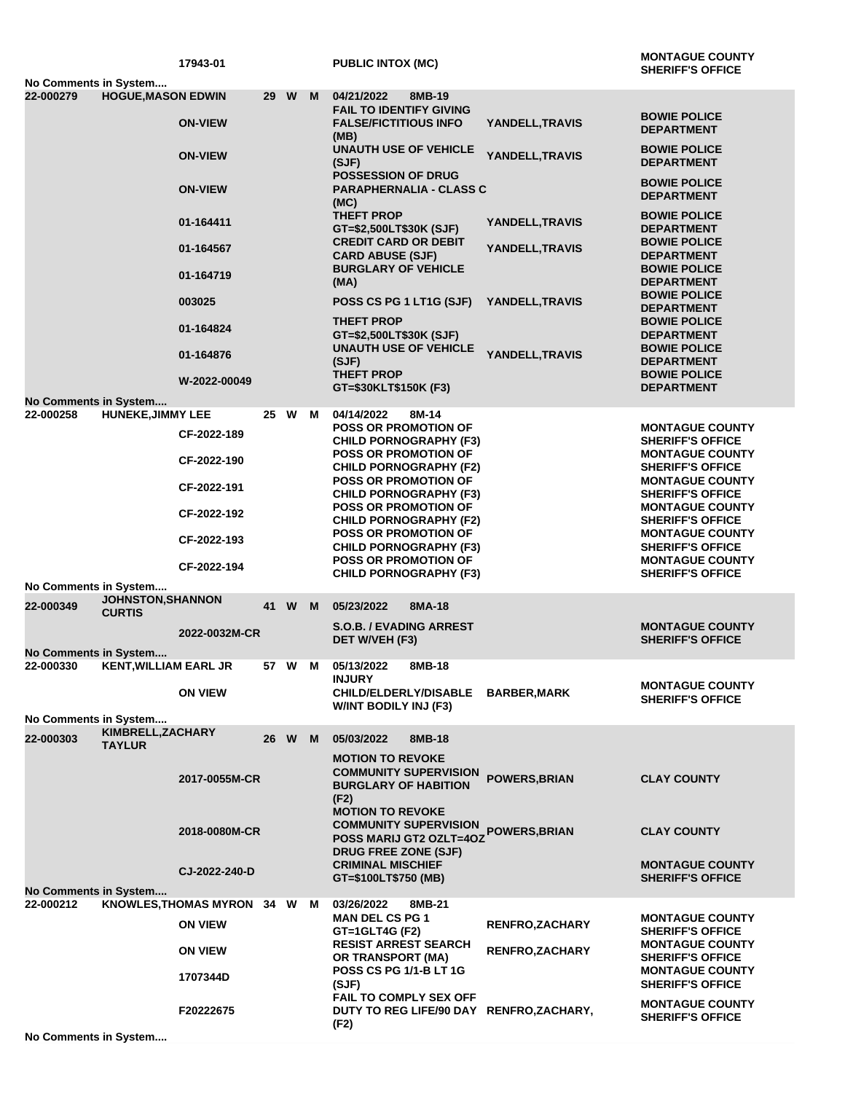| No Comments in System              |                                           | 17943-01                   |      |          |   | <b>PUBLIC INTOX (MC)</b>                                                                       |                        | <b>MONTAGUE COUNTY</b><br><b>SHERIFF'S OFFICE</b>               |
|------------------------------------|-------------------------------------------|----------------------------|------|----------|---|------------------------------------------------------------------------------------------------|------------------------|-----------------------------------------------------------------|
| 22-000279                          | <b>HOGUE, MASON EDWIN</b>                 |                            | 29 W |          | M | 04/21/2022<br>8MB-19                                                                           |                        |                                                                 |
|                                    |                                           |                            |      |          |   | <b>FAIL TO IDENTIFY GIVING</b>                                                                 |                        |                                                                 |
|                                    |                                           | <b>ON-VIEW</b>             |      |          |   | <b>FALSE/FICTITIOUS INFO</b><br>(MB)                                                           | YANDELL, TRAVIS        | <b>BOWIE POLICE</b><br><b>DEPARTMENT</b>                        |
|                                    |                                           | <b>ON-VIEW</b>             |      |          |   | <b>UNAUTH USE OF VEHICLE</b><br>(SJF)                                                          | YANDELL, TRAVIS        | <b>BOWIE POLICE</b><br><b>DEPARTMENT</b>                        |
|                                    |                                           | <b>ON-VIEW</b>             |      |          |   | POSSESSION OF DRUG<br><b>PARAPHERNALIA - CLASS C</b><br>(MC)                                   |                        | <b>BOWIE POLICE</b><br><b>DEPARTMENT</b>                        |
|                                    |                                           | 01-164411                  |      |          |   | <b>THEFT PROP</b><br>GT=\$2,500LT\$30K (SJF)                                                   | YANDELL, TRAVIS        | <b>BOWIE POLICE</b><br><b>DEPARTMENT</b>                        |
|                                    |                                           | 01-164567                  |      |          |   | <b>CREDIT CARD OR DEBIT</b><br><b>CARD ABUSE (SJF)</b>                                         | YANDELL, TRAVIS        | <b>BOWIE POLICE</b><br><b>DEPARTMENT</b>                        |
|                                    |                                           | 01-164719                  |      |          |   | <b>BURGLARY OF VEHICLE</b><br>(MA)                                                             |                        | <b>BOWIE POLICE</b><br><b>DEPARTMENT</b><br><b>BOWIE POLICE</b> |
|                                    |                                           | 003025                     |      |          |   | POSS CS PG 1 LT1G (SJF)<br><b>THEFT PROP</b>                                                   | YANDELL, TRAVIS        | <b>DEPARTMENT</b><br><b>BOWIE POLICE</b>                        |
|                                    |                                           | 01-164824                  |      |          |   | GT=\$2,500LT\$30K (SJF)<br><b>UNAUTH USE OF VEHICLE</b>                                        |                        | <b>DEPARTMENT</b><br><b>BOWIE POLICE</b>                        |
|                                    |                                           | 01-164876                  |      |          |   | (SJF)<br><b>THEFT PROP</b>                                                                     | YANDELL, TRAVIS        | <b>DEPARTMENT</b><br><b>BOWIE POLICE</b>                        |
|                                    |                                           | W-2022-00049               |      |          |   | GT=\$30KLT\$150K (F3)                                                                          |                        | <b>DEPARTMENT</b>                                               |
| No Comments in System              |                                           |                            |      |          |   |                                                                                                |                        |                                                                 |
| 22-000258                          | <b>HUNEKE, JIMMY LEE</b>                  | CF-2022-189                | 25 W |          | M | 04/14/2022<br>8M-14<br><b>POSS OR PROMOTION OF</b><br><b>CHILD PORNOGRAPHY (F3)</b>            |                        | <b>MONTAGUE COUNTY</b><br><b>SHERIFF'S OFFICE</b>               |
|                                    |                                           | CF-2022-190                |      |          |   | <b>POSS OR PROMOTION OF</b><br><b>CHILD PORNOGRAPHY (F2)</b>                                   |                        | <b>MONTAGUE COUNTY</b><br><b>SHERIFF'S OFFICE</b>               |
|                                    |                                           | CF-2022-191                |      |          |   | <b>POSS OR PROMOTION OF</b><br><b>CHILD PORNOGRAPHY (F3)</b>                                   |                        | <b>MONTAGUE COUNTY</b><br><b>SHERIFF'S OFFICE</b>               |
|                                    |                                           | CF-2022-192                |      |          |   | <b>POSS OR PROMOTION OF</b><br><b>CHILD PORNOGRAPHY (F2)</b>                                   |                        | <b>MONTAGUE COUNTY</b><br><b>SHERIFF'S OFFICE</b>               |
|                                    |                                           | CF-2022-193                |      |          |   | <b>POSS OR PROMOTION OF</b><br><b>CHILD PORNOGRAPHY (F3)</b>                                   |                        | <b>MONTAGUE COUNTY</b><br><b>SHERIFF'S OFFICE</b>               |
|                                    |                                           | CF-2022-194                |      |          |   | <b>POSS OR PROMOTION OF</b><br><b>CHILD PORNOGRAPHY (F3)</b>                                   |                        | <b>MONTAGUE COUNTY</b><br><b>SHERIFF'S OFFICE</b>               |
| No Comments in System              |                                           |                            |      |          |   |                                                                                                |                        |                                                                 |
| 22-000349                          | <b>JOHNSTON, SHANNON</b><br><b>CURTIS</b> |                            | 41 W |          | M | 05/23/2022<br>8MA-18                                                                           |                        |                                                                 |
| No Comments in System              |                                           | 2022-0032M-CR              |      |          |   | <b>S.O.B. / EVADING ARREST</b><br>DET W/VEH (F3)                                               |                        | <b>MONTAGUE COUNTY</b><br><b>SHERIFF'S OFFICE</b>               |
| 22-000330                          | <b>KENT, WILLIAM EARL JR</b>              |                            | 57 W |          | M | 8MB-18<br>05/13/2022                                                                           |                        |                                                                 |
|                                    |                                           | <b>ON VIEW</b>             |      |          |   | <b>INJURY</b><br><b>CHILD/ELDERLY/DISABLE</b>                                                  | <b>BARBER,MARK</b>     | <b>MONTAGUE COUNTY</b><br><b>SHERIFF'S OFFICE</b>               |
|                                    |                                           |                            |      |          |   | W/INT BODILY INJ (F3)                                                                          |                        |                                                                 |
| No Comments in System              | KIMBRELL, ZACHARY                         |                            |      |          |   |                                                                                                |                        |                                                                 |
| 22-000303                          | <b>TAYLUR</b>                             |                            | 26   | <b>W</b> | M | 05/03/2022<br>8MB-18<br><b>MOTION TO REVOKE</b>                                                |                        |                                                                 |
|                                    |                                           | 2017-0055M-CR              |      |          |   | <b>COMMUNITY SUPERVISION</b><br><b>BURGLARY OF HABITION</b><br>(F2)<br><b>MOTION TO REVOKE</b> | <b>POWERS, BRIAN</b>   | <b>CLAY COUNTY</b>                                              |
|                                    |                                           | 2018-0080M-CR              |      |          |   | <b>COMMUNITY SUPERVISION</b><br><b>POSS MARIJ GT2 OZLT=4OZ</b><br><b>DRUG FREE ZONE (SJF)</b>  | POWERS, BRIAN          | <b>CLAY COUNTY</b>                                              |
|                                    |                                           | CJ-2022-240-D              |      |          |   | <b>CRIMINAL MISCHIEF</b><br>GT=\$100LT\$750 (MB)                                               |                        | <b>MONTAGUE COUNTY</b><br><b>SHERIFF'S OFFICE</b>               |
| No Comments in System<br>22-000212 |                                           | KNOWLES, THOMAS MYRON 34 W |      |          | M | 03/26/2022<br>8MB-21                                                                           |                        |                                                                 |
|                                    |                                           | <b>ON VIEW</b>             |      |          |   | <b>MAN DEL CS PG 1</b><br>GT=1GLT4G (F2)                                                       | <b>RENFRO, ZACHARY</b> | <b>MONTAGUE COUNTY</b><br><b>SHERIFF'S OFFICE</b>               |
|                                    |                                           | <b>ON VIEW</b>             |      |          |   | <b>RESIST ARREST SEARCH</b><br>OR TRANSPORT (MA)                                               | <b>RENFRO, ZACHARY</b> | <b>MONTAGUE COUNTY</b><br><b>SHERIFF'S OFFICE</b>               |
|                                    |                                           | 1707344D                   |      |          |   | <b>POSS CS PG 1/1-B LT 1G</b><br>(SJF)                                                         |                        | <b>MONTAGUE COUNTY</b><br><b>SHERIFF'S OFFICE</b>               |
|                                    |                                           | F20222675                  |      |          |   | FAIL TO COMPLY SEX OFF<br>DUTY TO REG LIFE/90 DAY RENFRO,ZACHARY,<br>(F2)                      |                        | <b>MONTAGUE COUNTY</b><br><b>SHERIFF'S OFFICE</b>               |
| No Comments in System              |                                           |                            |      |          |   |                                                                                                |                        |                                                                 |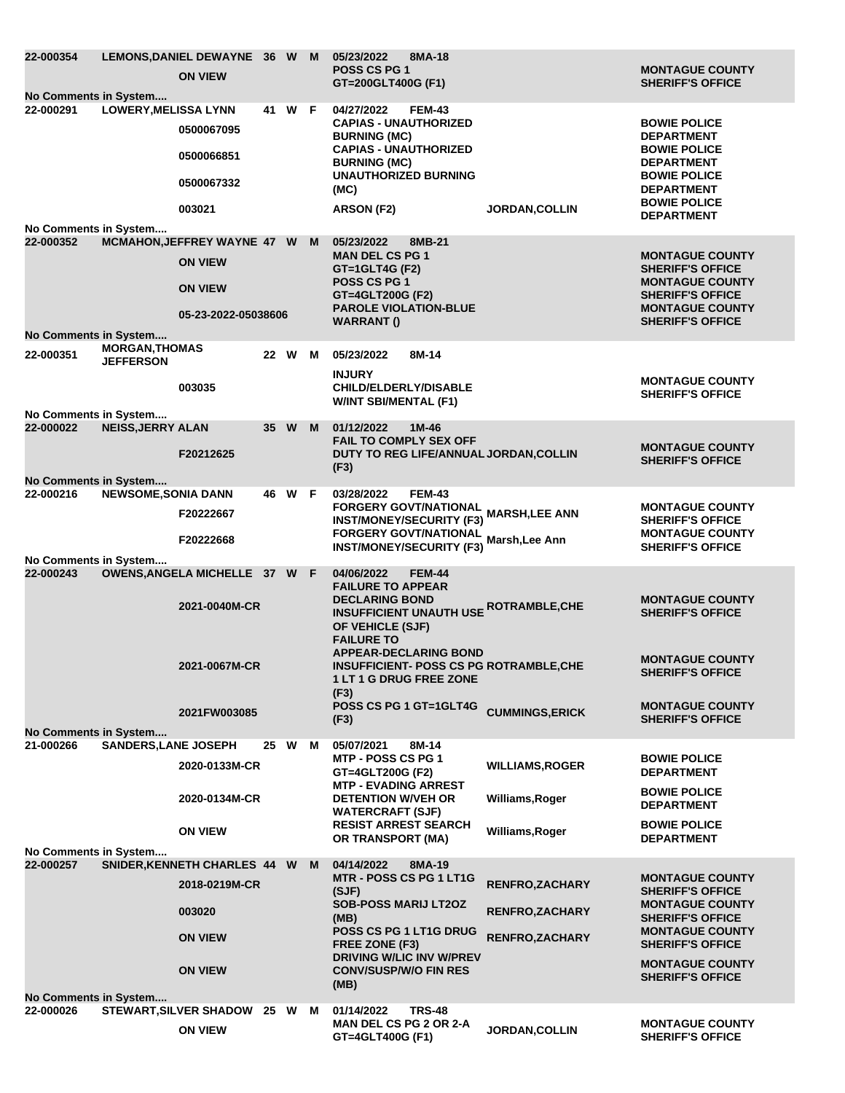| 22-000354<br>No Comments in System        |                                           | LEMONS, DANIEL DEWAYNE 36 W M<br><b>ON VIEW</b>                   |    |        |   | 05/23/2022<br>8MA-18<br><b>POSS CS PG 1</b><br>GT=200GLT400G (F1)                                                                                                                |                        | <b>MONTAGUE COUNTY</b><br><b>SHERIFF'S OFFICE</b>                                                                                                       |
|-------------------------------------------|-------------------------------------------|-------------------------------------------------------------------|----|--------|---|----------------------------------------------------------------------------------------------------------------------------------------------------------------------------------|------------------------|---------------------------------------------------------------------------------------------------------------------------------------------------------|
| 22-000291                                 | <b>LOWERY, MELISSA LYNN</b>               | 0500067095<br>0500066851<br>0500067332                            |    | 41 W F |   | 04/27/2022<br><b>FEM-43</b><br><b>CAPIAS - UNAUTHORIZED</b><br><b>BURNING (MC)</b><br><b>CAPIAS - UNAUTHORIZED</b><br><b>BURNING (MC)</b><br><b>UNAUTHORIZED BURNING</b><br>(MC) |                        | <b>BOWIE POLICE</b><br><b>DEPARTMENT</b><br><b>BOWIE POLICE</b><br><b>DEPARTMENT</b><br><b>BOWIE POLICE</b><br><b>DEPARTMENT</b><br><b>BOWIE POLICE</b> |
| No Comments in System                     |                                           | 003021                                                            |    |        |   | ARSON (F2)                                                                                                                                                                       | <b>JORDAN, COLLIN</b>  | <b>DEPARTMENT</b>                                                                                                                                       |
| 22-000352                                 |                                           | MCMAHON, JEFFREY WAYNE 47 W M<br><b>ON VIEW</b><br><b>ON VIEW</b> |    |        |   | 8MB-21<br>05/23/2022<br><b>MAN DEL CS PG 1</b><br>GT=1GLT4G (F2)<br><b>POSS CS PG 1</b><br>GT=4GLT200G (F2)<br><b>PAROLE VIOLATION-BLUE</b>                                      |                        | <b>MONTAGUE COUNTY</b><br><b>SHERIFF'S OFFICE</b><br><b>MONTAGUE COUNTY</b><br><b>SHERIFF'S OFFICE</b><br><b>MONTAGUE COUNTY</b>                        |
| No Comments in System                     |                                           | 05-23-2022-05038606                                               |    |        |   | WARRANT ()                                                                                                                                                                       |                        | <b>SHERIFF'S OFFICE</b>                                                                                                                                 |
| 22-000351                                 | <b>MORGAN, THOMAS</b><br><b>JEFFERSON</b> |                                                                   |    | 22 W   | M | 05/23/2022<br>8M-14                                                                                                                                                              |                        |                                                                                                                                                         |
|                                           |                                           | 003035                                                            |    |        |   | <b>INJURY</b><br><b>CHILD/ELDERLY/DISABLE</b><br><b>W/INT SBI/MENTAL (F1)</b>                                                                                                    |                        | <b>MONTAGUE COUNTY</b><br><b>SHERIFF'S OFFICE</b>                                                                                                       |
| No Comments in System<br>22-000022        | <b>NEISS, JERRY ALAN</b>                  |                                                                   |    | 35 W M |   | 01/12/2022<br>$1M-46$                                                                                                                                                            |                        |                                                                                                                                                         |
|                                           |                                           | F20212625                                                         |    |        |   | <b>FAIL TO COMPLY SEX OFF</b><br>DUTY TO REG LIFE/ANNUAL JORDAN, COLLIN<br>(F3)                                                                                                  |                        | <b>MONTAGUE COUNTY</b><br><b>SHERIFF'S OFFICE</b>                                                                                                       |
| No Comments in System<br>22-000216        | <b>NEWSOME, SONIA DANN</b>                |                                                                   |    | 46 W F |   | 03/28/2022<br><b>FEM-43</b>                                                                                                                                                      |                        |                                                                                                                                                         |
|                                           |                                           | F20222667                                                         |    |        |   | FORGERY GOVT/NATIONAL<br>FORGERY GOVT/NATIONAL MARSH,LEE ANN<br><b>INST/MONEY/SECURITY (F3)</b><br><b>FORGERY GOVT/NATIONAL</b>                                                  |                        | <b>MONTAGUE COUNTY</b><br><b>SHERIFF'S OFFICE</b><br><b>MONTAGUE COUNTY</b>                                                                             |
|                                           |                                           | F20222668                                                         |    |        |   | <b>INST/MONEY/SECURITY (F3)</b>                                                                                                                                                  | Marsh, Lee Ann         | <b>SHERIFF'S OFFICE</b>                                                                                                                                 |
| No Comments in System<br>22-000243        |                                           | OWENS, ANGELA MICHELLE 37 W F<br>2021-0040M-CR                    |    |        |   | 04/06/2022<br><b>FEM-44</b><br><b>FAILURE TO APPEAR</b><br><b>DECLARING BOND</b><br><b>INSUFFICIENT UNAUTH USE ROTRAMBLE, CHE</b>                                                |                        | <b>MONTAGUE COUNTY</b>                                                                                                                                  |
|                                           |                                           |                                                                   |    |        |   | OF VEHICLE (SJF)<br><b>FAILURE TO</b><br><b>APPEAR-DECLARING BOND</b>                                                                                                            |                        | <b>SHERIFF'S OFFICE</b><br><b>MONTAGUE COUNTY</b>                                                                                                       |
|                                           |                                           | 2021-0067M-CR                                                     |    |        |   | <b>INSUFFICIENT- POSS CS PG ROTRAMBLE, CHE</b><br><b>1 LT 1 G DRUG FREE ZONE</b><br>(F3)                                                                                         |                        | <b>SHERIFF'S OFFICE</b>                                                                                                                                 |
|                                           |                                           | 2021FW003085                                                      |    |        |   | POSS CS PG 1 GT=1GLT4G<br>(F3)                                                                                                                                                   | <b>CUMMINGS,ERICK</b>  | <b>MONTAGUE COUNTY</b><br><b>SHERIFF'S OFFICE</b>                                                                                                       |
| No Comments in System<br>21-000266        | <b>SANDERS, LANE JOSEPH</b>               |                                                                   | 25 | W      | M | 05/07/2021<br>8M-14                                                                                                                                                              |                        |                                                                                                                                                         |
|                                           |                                           | 2020-0133M-CR                                                     |    |        |   | <b>MTP - POSS CS PG 1</b><br>GT=4GLT200G (F2)<br><b>MTP - EVADING ARREST</b>                                                                                                     | <b>WILLIAMS, ROGER</b> | <b>BOWIE POLICE</b><br><b>DEPARTMENT</b>                                                                                                                |
|                                           |                                           | 2020-0134M-CR                                                     |    |        |   | <b>DETENTION W/VEH OR</b><br><b>WATERCRAFT (SJF)</b>                                                                                                                             | Williams, Roger        | <b>BOWIE POLICE</b><br><b>DEPARTMENT</b>                                                                                                                |
|                                           |                                           | <b>ON VIEW</b>                                                    |    |        |   | <b>RESIST ARREST SEARCH</b><br>OR TRANSPORT (MA)                                                                                                                                 | Williams, Roger        | <b>BOWIE POLICE</b><br><b>DEPARTMENT</b>                                                                                                                |
| No Comments in System<br>22-000257        |                                           | SNIDER, KENNETH CHARLES 44 W                                      |    |        | M | 04/14/2022<br>8MA-19                                                                                                                                                             |                        |                                                                                                                                                         |
|                                           |                                           | 2018-0219M-CR                                                     |    |        |   | MTR - POSS CS PG 1 LT1G<br>(SJF)                                                                                                                                                 | RENFRO, ZACHARY        | <b>MONTAGUE COUNTY</b><br><b>SHERIFF'S OFFICE</b>                                                                                                       |
|                                           |                                           | 003020                                                            |    |        |   | <b>SOB-POSS MARIJ LT2OZ</b><br>(MB)<br>POSS CS PG 1 LT1G DRUG                                                                                                                    | <b>RENFRO, ZACHARY</b> | <b>MONTAGUE COUNTY</b><br><b>SHERIFF'S OFFICE</b><br><b>MONTAGUE COUNTY</b>                                                                             |
|                                           |                                           | <b>ON VIEW</b>                                                    |    |        |   | FREE ZONE (F3)<br><b>DRIVING W/LIC INV W/PREV</b>                                                                                                                                | RENFRO, ZACHARY        | <b>SHERIFF'S OFFICE</b><br><b>MONTAGUE COUNTY</b>                                                                                                       |
|                                           |                                           | <b>ON VIEW</b>                                                    |    |        |   | <b>CONV/SUSP/W/O FIN RES</b><br>(MB)                                                                                                                                             |                        | <b>SHERIFF'S OFFICE</b>                                                                                                                                 |
| <b>No Comments in System</b><br>22-000026 |                                           | <b>STEWART, SILVER SHADOW</b>                                     |    | 25 W   | M | 01/14/2022<br><b>TRS-48</b>                                                                                                                                                      |                        |                                                                                                                                                         |
|                                           |                                           | <b>ON VIEW</b>                                                    |    |        |   | <b>MAN DEL CS PG 2 OR 2-A</b><br>GT=4GLT400G (F1)                                                                                                                                | <b>JORDAN, COLLIN</b>  | <b>MONTAGUE COUNTY</b><br><b>SHERIFF'S OFFICE</b>                                                                                                       |